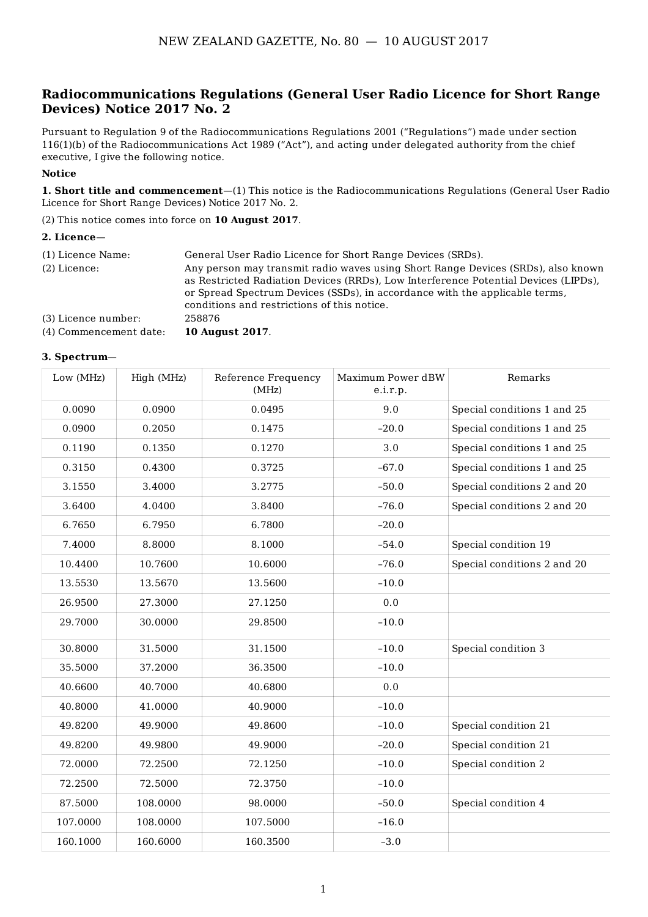## **Radiocommunications Regulations (General User Radio Licence for Short Range Devices) Notice 2017 No. 2**

Pursuant to Regulation 9 of the Radiocommunications Regulations 2001 ("Regulations") made under section 116(1)(b) of the Radiocommunications Act 1989 ("Act"), and acting under delegated authority from the chief executive, I give the following notice.

#### **Notice**

**1. Short title and commencement**—(1) This notice is the Radiocommunications Regulations (General User Radio Licence for Short Range Devices) Notice 2017 No. 2.

(2) This notice comes into force on **10 August 2017**.

#### **2. Licence**—

| (1) Licence Name:<br>(2) Licence: | General User Radio Licence for Short Range Devices (SRDs).<br>Any person may transmit radio waves using Short Range Devices (SRDs), also known<br>as Restricted Radiation Devices (RRDs), Low Interference Potential Devices (LIPDs),<br>or Spread Spectrum Devices (SSDs), in accordance with the applicable terms,<br>conditions and restrictions of this notice. |
|-----------------------------------|---------------------------------------------------------------------------------------------------------------------------------------------------------------------------------------------------------------------------------------------------------------------------------------------------------------------------------------------------------------------|
| (3) Licence number:               | 258876                                                                                                                                                                                                                                                                                                                                                              |
| (4) Commencement date:            | <b>10 August 2017.</b>                                                                                                                                                                                                                                                                                                                                              |

#### **3. Spectrum**—

| Low (MHz) | High (MHz) | Reference Frequency<br>(MHz) | Maximum Power dBW<br>e.i.r.p. | Remarks                     |
|-----------|------------|------------------------------|-------------------------------|-----------------------------|
| 0.0090    | 0.0900     | 0.0495                       | 9.0                           | Special conditions 1 and 25 |
| 0.0900    | 0.2050     | 0.1475                       | $-20.0$                       | Special conditions 1 and 25 |
| 0.1190    | 0.1350     | 0.1270                       | 3.0                           | Special conditions 1 and 25 |
| 0.3150    | 0.4300     | 0.3725                       | $-67.0$                       | Special conditions 1 and 25 |
| 3.1550    | 3.4000     | 3.2775                       | $-50.0$                       | Special conditions 2 and 20 |
| 3.6400    | 4.0400     | 3.8400                       | $-76.0$                       | Special conditions 2 and 20 |
| 6.7650    | 6.7950     | 6.7800                       | $-20.0$                       |                             |
| 7.4000    | 8.8000     | 8.1000                       | $-54.0$                       | Special condition 19        |
| 10.4400   | 10.7600    | 10.6000                      | $-76.0$                       | Special conditions 2 and 20 |
| 13.5530   | 13.5670    | 13.5600                      | $-10.0$                       |                             |
| 26.9500   | 27.3000    | 27.1250                      | 0.0                           |                             |
| 29.7000   | 30.0000    | 29.8500                      | $-10.0$                       |                             |
| 30.8000   | 31.5000    | 31.1500                      | $-10.0$                       | Special condition 3         |
| 35.5000   | 37.2000    | 36.3500                      | $-10.0$                       |                             |
| 40.6600   | 40.7000    | 40.6800                      | 0.0                           |                             |
| 40.8000   | 41.0000    | 40.9000                      | $-10.0$                       |                             |
| 49.8200   | 49.9000    | 49.8600                      | $-10.0$                       | Special condition 21        |
| 49.8200   | 49.9800    | 49.9000                      | $-20.0$                       | Special condition 21        |
| 72.0000   | 72.2500    | 72.1250                      | $-10.0$                       | Special condition 2         |
| 72.2500   | 72.5000    | 72.3750                      | $-10.0$                       |                             |
| 87.5000   | 108.0000   | 98.0000                      | $-50.0$                       | Special condition 4         |
| 107.0000  | 108.0000   | 107.5000                     | $-16.0$                       |                             |
| 160.1000  | 160.6000   | 160.3500                     | $-3.0$                        |                             |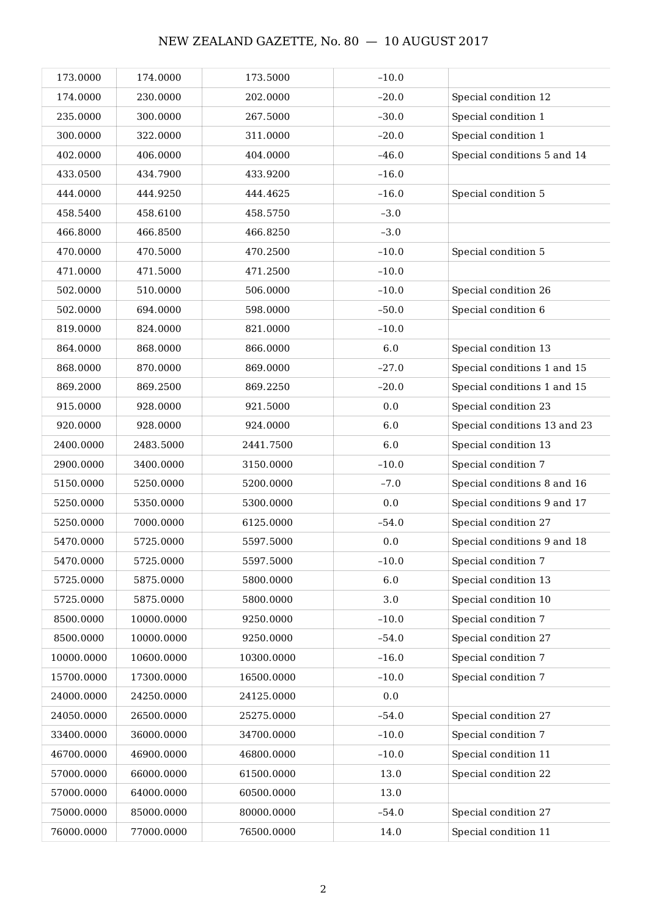| 173.0000   | 174.0000   | 173.5000   | $-10.0$ |                              |
|------------|------------|------------|---------|------------------------------|
| 174.0000   | 230.0000   | 202.0000   | $-20.0$ | Special condition 12         |
| 235.0000   | 300.0000   | 267.5000   | $-30.0$ | Special condition 1          |
| 300.0000   | 322.0000   | 311.0000   | $-20.0$ | Special condition 1          |
| 402.0000   | 406.0000   | 404.0000   | $-46.0$ | Special conditions 5 and 14  |
| 433.0500   | 434.7900   | 433.9200   | $-16.0$ |                              |
| 444.0000   | 444.9250   | 444.4625   | $-16.0$ | Special condition 5          |
| 458.5400   | 458.6100   | 458.5750   | $-3.0$  |                              |
| 466.8000   | 466.8500   | 466.8250   | $-3.0$  |                              |
| 470.0000   | 470.5000   | 470.2500   | $-10.0$ | Special condition 5          |
| 471.0000   | 471.5000   | 471.2500   | $-10.0$ |                              |
| 502.0000   | 510.0000   | 506.0000   | $-10.0$ | Special condition 26         |
| 502.0000   | 694.0000   | 598.0000   | $-50.0$ | Special condition 6          |
| 819.0000   | 824.0000   | 821.0000   | $-10.0$ |                              |
| 864.0000   | 868.0000   | 866.0000   | 6.0     | Special condition 13         |
| 868.0000   | 870.0000   | 869.0000   | $-27.0$ | Special conditions 1 and 15  |
| 869.2000   | 869.2500   | 869.2250   | $-20.0$ | Special conditions 1 and 15  |
| 915.0000   | 928.0000   | 921.5000   | 0.0     | Special condition 23         |
| 920.0000   | 928.0000   | 924.0000   | 6.0     | Special conditions 13 and 23 |
| 2400.0000  | 2483.5000  | 2441.7500  | 6.0     | Special condition 13         |
| 2900.0000  | 3400.0000  | 3150.0000  | $-10.0$ | Special condition 7          |
| 5150.0000  | 5250.0000  | 5200.0000  | $-7.0$  | Special conditions 8 and 16  |
| 5250.0000  | 5350.0000  | 5300.0000  | 0.0     | Special conditions 9 and 17  |
| 5250.0000  | 7000.0000  | 6125.0000  | $-54.0$ | Special condition 27         |
| 5470.0000  | 5725.0000  | 5597.5000  | 0.0     | Special conditions 9 and 18  |
| 5470.0000  | 5725.0000  | 5597.5000  | $-10.0$ | Special condition 7          |
| 5725.0000  | 5875.0000  | 5800.0000  | 6.0     | Special condition 13         |
| 5725.0000  | 5875.0000  | 5800.0000  | 3.0     | Special condition 10         |
| 8500.0000  | 10000.0000 | 9250.0000  | $-10.0$ | Special condition 7          |
| 8500.0000  | 10000.0000 | 9250.0000  | $-54.0$ | Special condition 27         |
| 10000.0000 | 10600.0000 | 10300.0000 | $-16.0$ | Special condition 7          |
| 15700.0000 | 17300.0000 | 16500.0000 | $-10.0$ | Special condition 7          |
| 24000.0000 | 24250.0000 | 24125.0000 | 0.0     |                              |
| 24050.0000 | 26500.0000 | 25275.0000 | $-54.0$ | Special condition 27         |
| 33400.0000 | 36000.0000 | 34700.0000 | $-10.0$ | Special condition 7          |
| 46700.0000 | 46900.0000 | 46800.0000 | $-10.0$ | Special condition 11         |
| 57000.0000 | 66000.0000 | 61500.0000 | 13.0    | Special condition 22         |
| 57000.0000 | 64000.0000 | 60500.0000 | 13.0    |                              |
| 75000.0000 | 85000.0000 | 80000.0000 | $-54.0$ | Special condition 27         |
| 76000.0000 | 77000.0000 | 76500.0000 | 14.0    | Special condition 11         |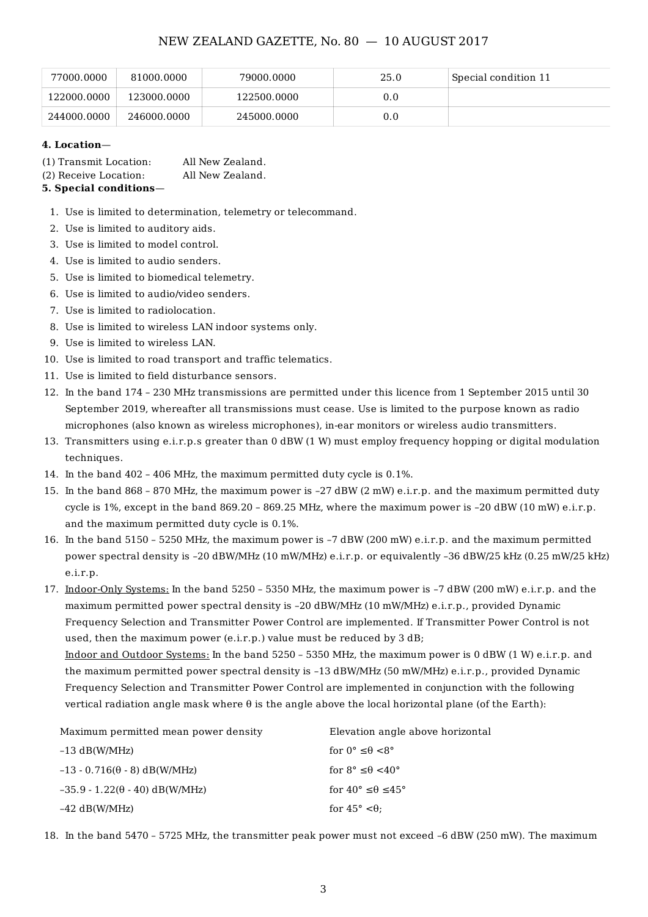| 77000.0000  | 81000.0000  | 79000.0000  | 25.0 | Special condition 11 |
|-------------|-------------|-------------|------|----------------------|
| 122000.0000 | 123000.0000 | 122500.0000 | 0.0  |                      |
| 244000.0000 | 246000.0000 | 245000.0000 | 0.0  |                      |

#### **4. Location**—

| 5. Special conditions— |                  |
|------------------------|------------------|
| (2) Receive Location:  | All New Zealand. |
| (1) Transmit Location: | All New Zealand. |

- 1. Use is limited to determination, telemetry or telecommand.
- 2. Use is limited to auditory aids.
- 3. Use is limited to model control.
- 4. Use is limited to audio senders.
- 5. Use is limited to biomedical telemetry.
- 6. Use is limited to audio/video senders.
- 7. Use is limited to radiolocation.
- 8. Use is limited to wireless LAN indoor systems only.
- 9. Use is limited to wireless LAN.
- 10. Use is limited to road transport and traffic telematics.
- 11. Use is limited to field disturbance sensors.
- 12. In the band 174 230 MHz transmissions are permitted under this licence from 1 September 2015 until 30 September 2019, whereafter all transmissions must cease. Use is limited to the purpose known as radio microphones (also known as wireless microphones), in-ear monitors or wireless audio transmitters.
- 13. Transmitters using e.i.r.p.s greater than 0 dBW (1 W) must employ frequency hopping or digital modulation techniques.
- 14. In the band 402 406 MHz, the maximum permitted duty cycle is 0.1%.
- 15. In the band 868 870 MHz, the maximum power is –27 dBW (2 mW) e.i.r.p. and the maximum permitted duty cycle is 1%, except in the band 869.20 – 869.25 MHz, where the maximum power is –20 dBW (10 mW) e.i.r.p. and the maximum permitted duty cycle is 0.1%.
- 16. In the band 5150 5250 MHz, the maximum power is –7 dBW (200 mW) e.i.r.p. and the maximum permitted power spectral density is –20 dBW/MHz (10 mW/MHz) e.i.r.p. or equivalently –36 dBW/25 kHz (0.25 mW/25 kHz) e.i.r.p.
- 17. Indoor-Only Systems: In the band 5250 5350 MHz, the maximum power is –7 dBW (200 mW) e.i.r.p. and the maximum permitted power spectral density is –20 dBW/MHz (10 mW/MHz) e.i.r.p., provided Dynamic Frequency Selection and Transmitter Power Control are implemented. If Transmitter Power Control is not used, then the maximum power (e.i.r.p.) value must be reduced by  $3 dB$ ;

Indoor and Outdoor Systems: In the band 5250 – 5350 MHz, the maximum power is 0 dBW (1 W) e.i.r.p. and the maximum permitted power spectral density is –13 dBW/MHz (50 mW/MHz) e.i.r.p., provided Dynamic Frequency Selection and Transmitter Power Control are implemented in conjunction with the following vertical radiation angle mask where θ is the angle above the local horizontal plane (of the Earth):

| Maximum permitted mean power density  | Elevation angle above horizontal             |
|---------------------------------------|----------------------------------------------|
| $-13$ dB(W/MHz)                       | for $0^{\circ} \leq \theta \leq 8^{\circ}$   |
| $-13 - 0.716(\theta - 8)$ dB(W/MHz)   | for $8^{\circ} \leq \theta \leq 40^{\circ}$  |
| $-35.9 - 1.22(\theta - 40)$ dB(W/MHz) | for $40^{\circ} \leq \theta \leq 45^{\circ}$ |
| $-42$ dB(W/MHz)                       | for $45^{\circ} < \theta$ :                  |

18. In the band 5470 – 5725 MHz, the transmitter peak power must not exceed –6 dBW (250 mW). The maximum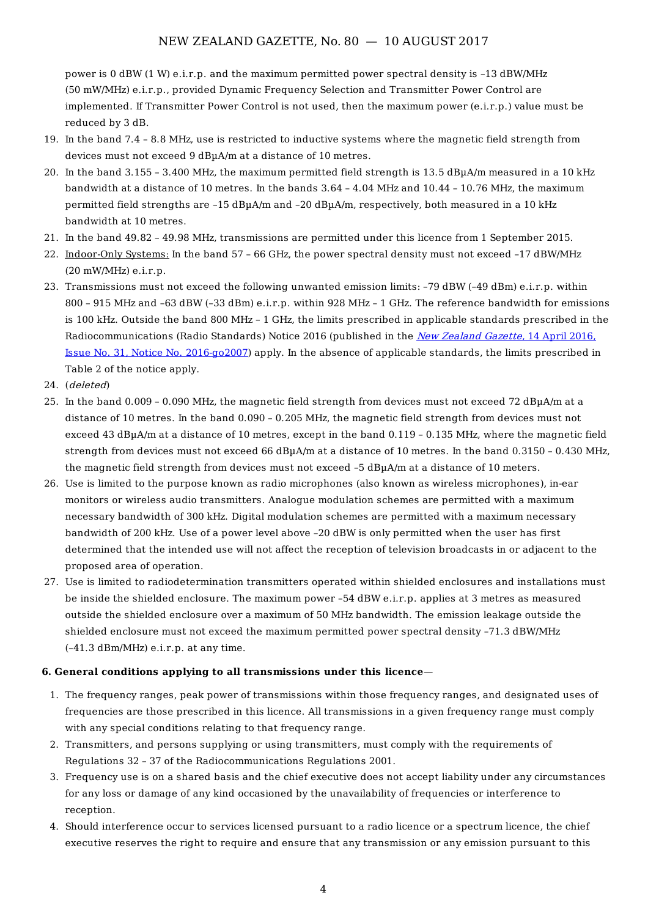power is 0 dBW (1 W) e.i.r.p. and the maximum permitted power spectral density is –13 dBW/MHz (50 mW/MHz) e.i.r.p., provided Dynamic Frequency Selection and Transmitter Power Control are implemented. If Transmitter Power Control is not used, then the maximum power (e.i.r.p.) value must be reduced by 3 dB.

- 19. In the band 7.4 8.8 MHz, use is restricted to inductive systems where the magnetic field strength from devices must not exceed 9 dBµA/m at a distance of 10 metres.
- 20. In the band 3.155 3.400 MHz, the maximum permitted field strength is 13.5 dBµA/m measured in a 10 kHz bandwidth at a distance of 10 metres. In the bands 3.64 – 4.04 MHz and 10.44 – 10.76 MHz, the maximum permitted field strengths are –15 dBµA/m and –20 dBµA/m, respectively, both measured in a 10 kHz bandwidth at 10 metres.
- 21. In the band 49.82 49.98 MHz, transmissions are permitted under this licence from 1 September 2015.
- 22. Indoor-Only Systems: In the band 57 66 GHz, the power spectral density must not exceed –17 dBW/MHz  $(20 \text{ mW/MHz})$  e.i.r.p.
- 23. Transmissions must not exceed the following unwanted emission limits: –79 dBW (–49 dBm) e.i.r.p. within 800 – 915 MHz and –63 dBW (–33 dBm) e.i.r.p. within 928 MHz – 1 GHz. The reference bandwidth for emissions is 100 kHz. Outside the band 800 MHz – 1 GHz, the limits prescribed in applicable standards prescribed in the [Radiocommunications](https://gazette.govt.nz/notice/id/2016-go2007) (Radio Standards) Notice 2016 (published in the New Zealand Gazette, 14 April 2016, Issue No. 31, Notice No. 2016-go2007) apply. In the absence of applicable standards, the limits prescribed in Table 2 of the notice apply.
- 24. (deleted)
- 25. In the band 0.009 0.090 MHz, the magnetic field strength from devices must not exceed 72 dBµA/m at a distance of 10 metres. In the band 0.090 – 0.205 MHz, the magnetic field strength from devices must not exceed 43 dBµA/m at a distance of 10 metres, except in the band 0.119 – 0.135 MHz, where the magnetic field strength from devices must not exceed 66 dB<sub>u</sub>A/m at a distance of 10 metres. In the band 0.3150 - 0.430 MHz, the magnetic field strength from devices must not exceed –5 dBµA/m at a distance of 10 meters.
- 26. Use is limited to the purpose known as radio microphones (also known as wireless microphones), in-ear monitors or wireless audio transmitters. Analogue modulation schemes are permitted with a maximum necessary bandwidth of 300 kHz. Digital modulation schemes are permitted with a maximum necessary bandwidth of 200 kHz. Use of a power level above –20 dBW is only permitted when the user has first determined that the intended use will not affect the reception of television broadcasts in or adjacent to the proposed area of operation.
- 27. Use is limited to radiodetermination transmitters operated within shielded enclosures and installations must be inside the shielded enclosure. The maximum power –54 dBW e.i.r.p. applies at 3 metres as measured outside the shielded enclosure over a maximum of 50 MHz bandwidth. The emission leakage outside the shielded enclosure must not exceed the maximum permitted power spectral density –71.3 dBW/MHz (–41.3 dBm/MHz) e.i.r.p. at any time.

#### **6. General conditions applying to all transmissions under this licence**—

- 1. The frequency ranges, peak power of transmissions within those frequency ranges, and designated uses of frequencies are those prescribed in this licence. All transmissions in a given frequency range must comply with any special conditions relating to that frequency range.
- 2. Transmitters, and persons supplying or using transmitters, must comply with the requirements of Regulations 32 – 37 of the Radiocommunications Regulations 2001.
- 3. Frequency use is on a shared basis and the chief executive does not accept liability under any circumstances for any loss or damage of any kind occasioned by the unavailability of frequencies or interference to reception.
- 4. Should interference occur to services licensed pursuant to a radio licence or a spectrum licence, the chief executive reserves the right to require and ensure that any transmission or any emission pursuant to this